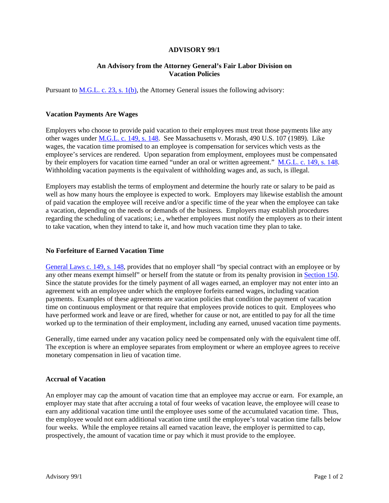#### **ADVISORY 99/1**

### **An Advisory from the Attorney General's Fair Labor Division on Vacation Policies**

Pursuant to M.G.L. c. 23, s. 1(b), the Attorney General issues the following advisory:

### **Vacation Payments Are Wages**

Employers who choose to provide paid vacation to their employees must treat those payments like any other wages under M.G.L. c. 149, s. 148. See Massachusetts v. Morash, 490 U.S. 107 (1989). Like wages, the vacation time promised to an employee is compensation for services which vests as the employee's services are rendered. Upon separation from employment, employees must be compensated by their employers for vacation time earned "under an oral or written agreement." M.G.L. c. 149, s. 148. Withholding vacation payments is the equivalent of withholding wages and, as such, is illegal.

Employers may establish the terms of employment and determine the hourly rate or salary to be paid as well as how many hours the employee is expected to work. Employers may likewise establish the amount of paid vacation the employee will receive and/or a specific time of the year when the employee can take a vacation, depending on the needs or demands of the business. Employers may establish procedures regarding the scheduling of vacations; i.e., whether employees must notify the employers as to their intent to take vacation, when they intend to take it, and how much vacation time they plan to take.

#### **No Forfeiture of Earned Vacation Time**

General Laws c. 149, s. 148, provides that no employer shall "by special contract with an employee or by any other means exempt himself" or herself from the statute or from its penalty provision in Section 150. Since the statute provides for the timely payment of all wages earned, an employer may not enter into an agreement with an employee under which the employee forfeits earned wages, including vacation payments. Examples of these agreements are vacation policies that condition the payment of vacation time on continuous employment or that require that employees provide notices to quit. Employees who have performed work and leave or are fired, whether for cause or not, are entitled to pay for all the time worked up to the termination of their employment, including any earned, unused vacation time payments.

Generally, time earned under any vacation policy need be compensated only with the equivalent time off. The exception is where an employee separates from employment or where an employee agrees to receive monetary compensation in lieu of vacation time.

#### **Accrual of Vacation**

An employer may cap the amount of vacation time that an employee may accrue or earn. For example, an employer may state that after accruing a total of four weeks of vacation leave, the employee will cease to earn any additional vacation time until the employee uses some of the accumulated vacation time. Thus, the employee would not earn additional vacation time until the employee's total vacation time falls below four weeks. While the employee retains all earned vacation leave, the employer is permitted to cap, prospectively, the amount of vacation time or pay which it must provide to the employee.